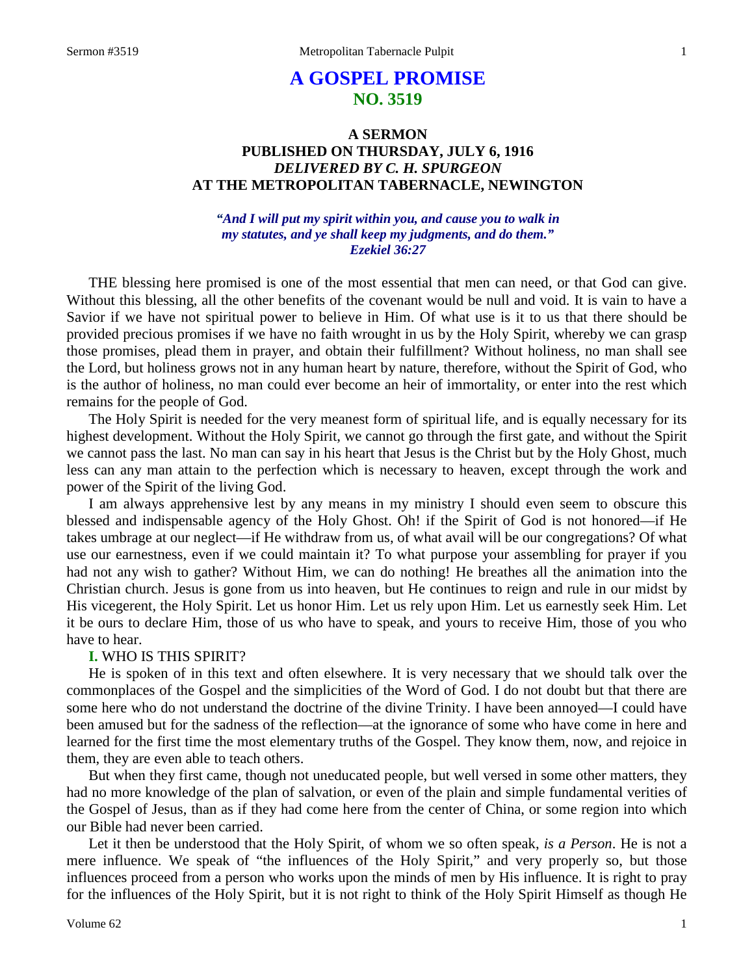# **A GOSPEL PROMISE NO. 3519**

# **A SERMON PUBLISHED ON THURSDAY, JULY 6, 1916** *DELIVERED BY C. H. SPURGEON* **AT THE METROPOLITAN TABERNACLE, NEWINGTON**

# *"And I will put my spirit within you, and cause you to walk in my statutes, and ye shall keep my judgments, and do them." Ezekiel 36:27*

THE blessing here promised is one of the most essential that men can need, or that God can give. Without this blessing, all the other benefits of the covenant would be null and void. It is vain to have a Savior if we have not spiritual power to believe in Him. Of what use is it to us that there should be provided precious promises if we have no faith wrought in us by the Holy Spirit, whereby we can grasp those promises, plead them in prayer, and obtain their fulfillment? Without holiness, no man shall see the Lord, but holiness grows not in any human heart by nature, therefore, without the Spirit of God, who is the author of holiness, no man could ever become an heir of immortality, or enter into the rest which remains for the people of God.

The Holy Spirit is needed for the very meanest form of spiritual life, and is equally necessary for its highest development. Without the Holy Spirit, we cannot go through the first gate, and without the Spirit we cannot pass the last. No man can say in his heart that Jesus is the Christ but by the Holy Ghost, much less can any man attain to the perfection which is necessary to heaven, except through the work and power of the Spirit of the living God.

I am always apprehensive lest by any means in my ministry I should even seem to obscure this blessed and indispensable agency of the Holy Ghost. Oh! if the Spirit of God is not honored—if He takes umbrage at our neglect—if He withdraw from us, of what avail will be our congregations? Of what use our earnestness, even if we could maintain it? To what purpose your assembling for prayer if you had not any wish to gather? Without Him, we can do nothing! He breathes all the animation into the Christian church. Jesus is gone from us into heaven, but He continues to reign and rule in our midst by His vicegerent, the Holy Spirit. Let us honor Him. Let us rely upon Him. Let us earnestly seek Him. Let it be ours to declare Him, those of us who have to speak, and yours to receive Him, those of you who have to hear.

# **I.** WHO IS THIS SPIRIT?

He is spoken of in this text and often elsewhere. It is very necessary that we should talk over the commonplaces of the Gospel and the simplicities of the Word of God. I do not doubt but that there are some here who do not understand the doctrine of the divine Trinity. I have been annoyed—I could have been amused but for the sadness of the reflection—at the ignorance of some who have come in here and learned for the first time the most elementary truths of the Gospel. They know them, now, and rejoice in them, they are even able to teach others.

But when they first came, though not uneducated people, but well versed in some other matters, they had no more knowledge of the plan of salvation, or even of the plain and simple fundamental verities of the Gospel of Jesus, than as if they had come here from the center of China, or some region into which our Bible had never been carried.

Let it then be understood that the Holy Spirit, of whom we so often speak, *is a Person*. He is not a mere influence. We speak of "the influences of the Holy Spirit," and very properly so, but those influences proceed from a person who works upon the minds of men by His influence. It is right to pray for the influences of the Holy Spirit, but it is not right to think of the Holy Spirit Himself as though He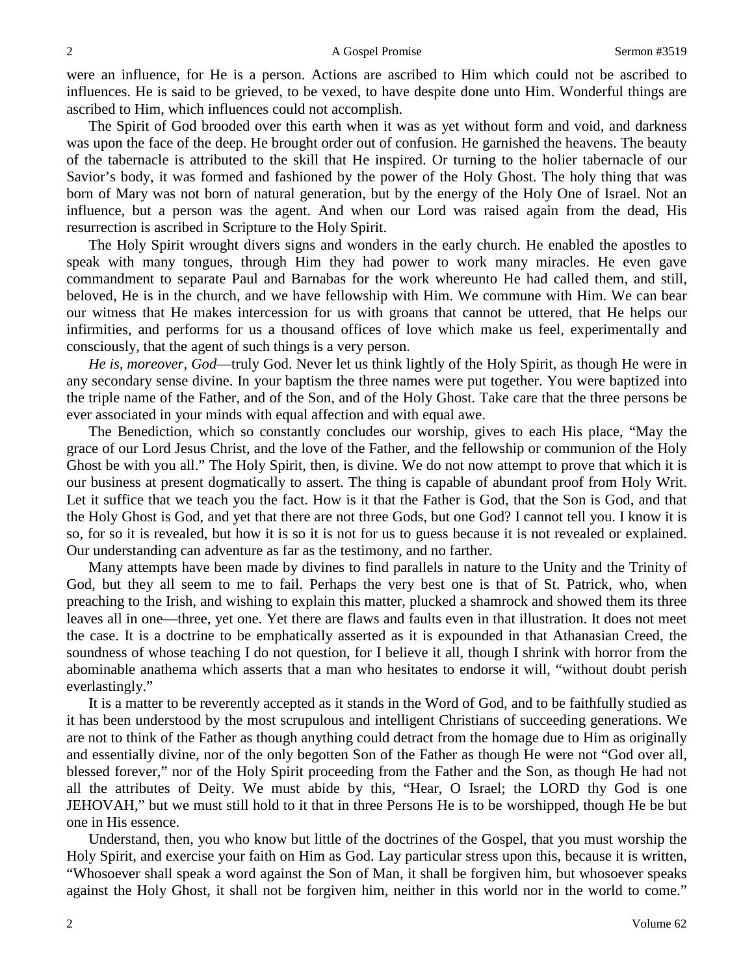were an influence, for He is a person. Actions are ascribed to Him which could not be ascribed to influences. He is said to be grieved, to be vexed, to have despite done unto Him. Wonderful things are ascribed to Him, which influences could not accomplish.

The Spirit of God brooded over this earth when it was as yet without form and void, and darkness was upon the face of the deep. He brought order out of confusion. He garnished the heavens. The beauty of the tabernacle is attributed to the skill that He inspired. Or turning to the holier tabernacle of our Savior's body, it was formed and fashioned by the power of the Holy Ghost. The holy thing that was born of Mary was not born of natural generation, but by the energy of the Holy One of Israel. Not an influence, but a person was the agent. And when our Lord was raised again from the dead, His resurrection is ascribed in Scripture to the Holy Spirit.

The Holy Spirit wrought divers signs and wonders in the early church. He enabled the apostles to speak with many tongues, through Him they had power to work many miracles. He even gave commandment to separate Paul and Barnabas for the work whereunto He had called them, and still, beloved, He is in the church, and we have fellowship with Him. We commune with Him. We can bear our witness that He makes intercession for us with groans that cannot be uttered, that He helps our infirmities, and performs for us a thousand offices of love which make us feel, experimentally and consciously, that the agent of such things is a very person.

*He is, moreover, God*—truly God. Never let us think lightly of the Holy Spirit, as though He were in any secondary sense divine. In your baptism the three names were put together. You were baptized into the triple name of the Father, and of the Son, and of the Holy Ghost. Take care that the three persons be ever associated in your minds with equal affection and with equal awe.

The Benediction, which so constantly concludes our worship, gives to each His place, "May the grace of our Lord Jesus Christ, and the love of the Father, and the fellowship or communion of the Holy Ghost be with you all." The Holy Spirit, then, is divine. We do not now attempt to prove that which it is our business at present dogmatically to assert. The thing is capable of abundant proof from Holy Writ. Let it suffice that we teach you the fact. How is it that the Father is God, that the Son is God, and that the Holy Ghost is God, and yet that there are not three Gods, but one God? I cannot tell you. I know it is so, for so it is revealed, but how it is so it is not for us to guess because it is not revealed or explained. Our understanding can adventure as far as the testimony, and no farther.

Many attempts have been made by divines to find parallels in nature to the Unity and the Trinity of God, but they all seem to me to fail. Perhaps the very best one is that of St. Patrick, who, when preaching to the Irish, and wishing to explain this matter, plucked a shamrock and showed them its three leaves all in one—three, yet one. Yet there are flaws and faults even in that illustration. It does not meet the case. It is a doctrine to be emphatically asserted as it is expounded in that Athanasian Creed, the soundness of whose teaching I do not question, for I believe it all, though I shrink with horror from the abominable anathema which asserts that a man who hesitates to endorse it will, "without doubt perish everlastingly."

It is a matter to be reverently accepted as it stands in the Word of God, and to be faithfully studied as it has been understood by the most scrupulous and intelligent Christians of succeeding generations. We are not to think of the Father as though anything could detract from the homage due to Him as originally and essentially divine, nor of the only begotten Son of the Father as though He were not "God over all, blessed forever," nor of the Holy Spirit proceeding from the Father and the Son, as though He had not all the attributes of Deity. We must abide by this, "Hear, O Israel; the LORD thy God is one JEHOVAH," but we must still hold to it that in three Persons He is to be worshipped, though He be but one in His essence.

Understand, then, you who know but little of the doctrines of the Gospel, that you must worship the Holy Spirit, and exercise your faith on Him as God. Lay particular stress upon this, because it is written, "Whosoever shall speak a word against the Son of Man, it shall be forgiven him, but whosoever speaks against the Holy Ghost, it shall not be forgiven him, neither in this world nor in the world to come."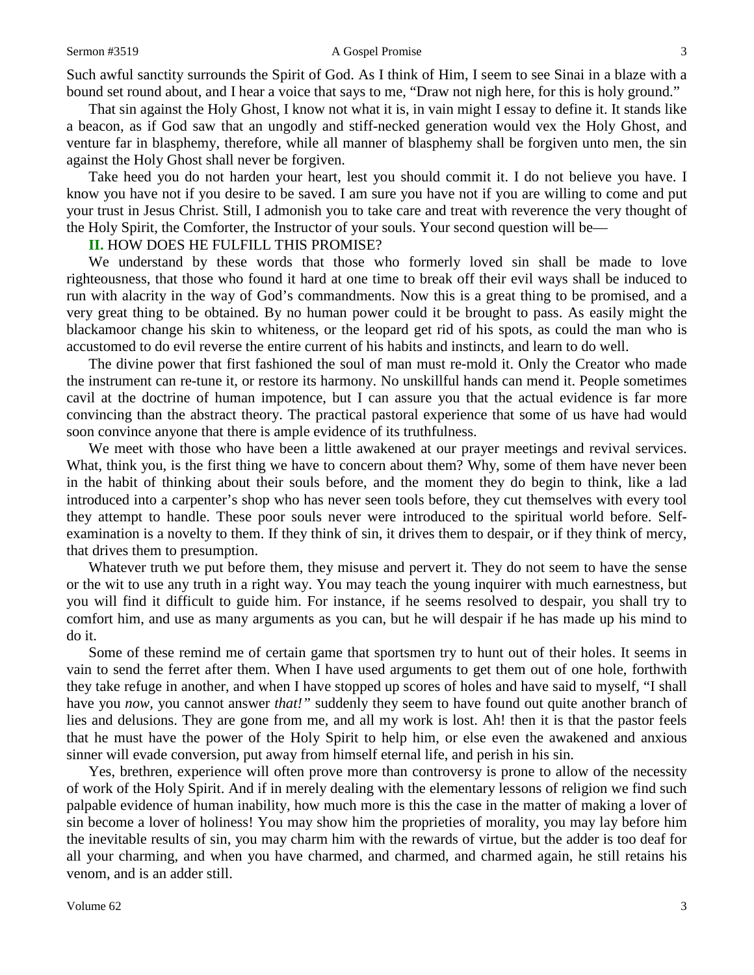Such awful sanctity surrounds the Spirit of God. As I think of Him, I seem to see Sinai in a blaze with a bound set round about, and I hear a voice that says to me, "Draw not nigh here, for this is holy ground."

That sin against the Holy Ghost, I know not what it is, in vain might I essay to define it. It stands like a beacon, as if God saw that an ungodly and stiff-necked generation would vex the Holy Ghost, and venture far in blasphemy, therefore, while all manner of blasphemy shall be forgiven unto men, the sin against the Holy Ghost shall never be forgiven.

Take heed you do not harden your heart, lest you should commit it. I do not believe you have. I know you have not if you desire to be saved. I am sure you have not if you are willing to come and put your trust in Jesus Christ. Still, I admonish you to take care and treat with reverence the very thought of the Holy Spirit, the Comforter, the Instructor of your souls. Your second question will be—

### **II.** HOW DOES HE FULFILL THIS PROMISE?

We understand by these words that those who formerly loved sin shall be made to love righteousness, that those who found it hard at one time to break off their evil ways shall be induced to run with alacrity in the way of God's commandments. Now this is a great thing to be promised, and a very great thing to be obtained. By no human power could it be brought to pass. As easily might the blackamoor change his skin to whiteness, or the leopard get rid of his spots, as could the man who is accustomed to do evil reverse the entire current of his habits and instincts, and learn to do well.

The divine power that first fashioned the soul of man must re-mold it. Only the Creator who made the instrument can re-tune it, or restore its harmony. No unskillful hands can mend it. People sometimes cavil at the doctrine of human impotence, but I can assure you that the actual evidence is far more convincing than the abstract theory. The practical pastoral experience that some of us have had would soon convince anyone that there is ample evidence of its truthfulness.

We meet with those who have been a little awakened at our prayer meetings and revival services. What, think you, is the first thing we have to concern about them? Why, some of them have never been in the habit of thinking about their souls before, and the moment they do begin to think, like a lad introduced into a carpenter's shop who has never seen tools before, they cut themselves with every tool they attempt to handle. These poor souls never were introduced to the spiritual world before. Selfexamination is a novelty to them. If they think of sin, it drives them to despair, or if they think of mercy, that drives them to presumption.

Whatever truth we put before them, they misuse and pervert it. They do not seem to have the sense or the wit to use any truth in a right way. You may teach the young inquirer with much earnestness, but you will find it difficult to guide him. For instance, if he seems resolved to despair, you shall try to comfort him, and use as many arguments as you can, but he will despair if he has made up his mind to do it.

Some of these remind me of certain game that sportsmen try to hunt out of their holes. It seems in vain to send the ferret after them. When I have used arguments to get them out of one hole, forthwith they take refuge in another, and when I have stopped up scores of holes and have said to myself, "I shall have you *now,* you cannot answer *that!"* suddenly they seem to have found out quite another branch of lies and delusions. They are gone from me, and all my work is lost. Ah! then it is that the pastor feels that he must have the power of the Holy Spirit to help him, or else even the awakened and anxious sinner will evade conversion, put away from himself eternal life, and perish in his sin.

Yes, brethren, experience will often prove more than controversy is prone to allow of the necessity of work of the Holy Spirit. And if in merely dealing with the elementary lessons of religion we find such palpable evidence of human inability, how much more is this the case in the matter of making a lover of sin become a lover of holiness! You may show him the proprieties of morality, you may lay before him the inevitable results of sin, you may charm him with the rewards of virtue, but the adder is too deaf for all your charming, and when you have charmed, and charmed, and charmed again, he still retains his venom, and is an adder still.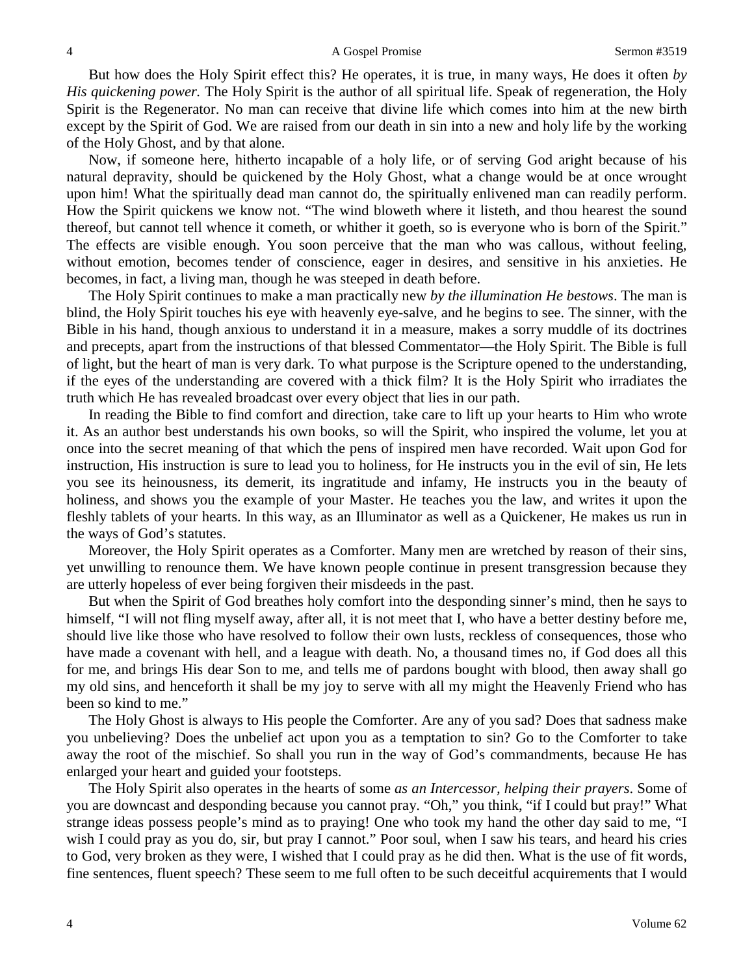But how does the Holy Spirit effect this? He operates, it is true, in many ways, He does it often *by His quickening power.* The Holy Spirit is the author of all spiritual life. Speak of regeneration, the Holy Spirit is the Regenerator. No man can receive that divine life which comes into him at the new birth except by the Spirit of God. We are raised from our death in sin into a new and holy life by the working of the Holy Ghost, and by that alone.

Now, if someone here, hitherto incapable of a holy life, or of serving God aright because of his natural depravity, should be quickened by the Holy Ghost, what a change would be at once wrought upon him! What the spiritually dead man cannot do, the spiritually enlivened man can readily perform. How the Spirit quickens we know not. "The wind bloweth where it listeth, and thou hearest the sound thereof, but cannot tell whence it cometh, or whither it goeth, so is everyone who is born of the Spirit." The effects are visible enough. You soon perceive that the man who was callous, without feeling, without emotion, becomes tender of conscience, eager in desires, and sensitive in his anxieties. He becomes, in fact, a living man, though he was steeped in death before.

The Holy Spirit continues to make a man practically new *by the illumination He bestows*. The man is blind, the Holy Spirit touches his eye with heavenly eye-salve, and he begins to see. The sinner, with the Bible in his hand, though anxious to understand it in a measure, makes a sorry muddle of its doctrines and precepts, apart from the instructions of that blessed Commentator—the Holy Spirit. The Bible is full of light, but the heart of man is very dark. To what purpose is the Scripture opened to the understanding, if the eyes of the understanding are covered with a thick film? It is the Holy Spirit who irradiates the truth which He has revealed broadcast over every object that lies in our path.

In reading the Bible to find comfort and direction, take care to lift up your hearts to Him who wrote it. As an author best understands his own books, so will the Spirit, who inspired the volume, let you at once into the secret meaning of that which the pens of inspired men have recorded. Wait upon God for instruction, His instruction is sure to lead you to holiness, for He instructs you in the evil of sin, He lets you see its heinousness, its demerit, its ingratitude and infamy, He instructs you in the beauty of holiness, and shows you the example of your Master. He teaches you the law, and writes it upon the fleshly tablets of your hearts. In this way, as an Illuminator as well as a Quickener, He makes us run in the ways of God's statutes.

Moreover, the Holy Spirit operates as a Comforter. Many men are wretched by reason of their sins, yet unwilling to renounce them. We have known people continue in present transgression because they are utterly hopeless of ever being forgiven their misdeeds in the past.

But when the Spirit of God breathes holy comfort into the desponding sinner's mind, then he says to himself, "I will not fling myself away, after all, it is not meet that I, who have a better destiny before me, should live like those who have resolved to follow their own lusts, reckless of consequences, those who have made a covenant with hell, and a league with death. No, a thousand times no, if God does all this for me, and brings His dear Son to me, and tells me of pardons bought with blood, then away shall go my old sins, and henceforth it shall be my joy to serve with all my might the Heavenly Friend who has been so kind to me."

The Holy Ghost is always to His people the Comforter. Are any of you sad? Does that sadness make you unbelieving? Does the unbelief act upon you as a temptation to sin? Go to the Comforter to take away the root of the mischief. So shall you run in the way of God's commandments, because He has enlarged your heart and guided your footsteps.

The Holy Spirit also operates in the hearts of some *as an Intercessor, helping their prayers*. Some of you are downcast and desponding because you cannot pray. "Oh," you think, "if I could but pray!" What strange ideas possess people's mind as to praying! One who took my hand the other day said to me, "I wish I could pray as you do, sir, but pray I cannot." Poor soul, when I saw his tears, and heard his cries to God, very broken as they were, I wished that I could pray as he did then. What is the use of fit words, fine sentences, fluent speech? These seem to me full often to be such deceitful acquirements that I would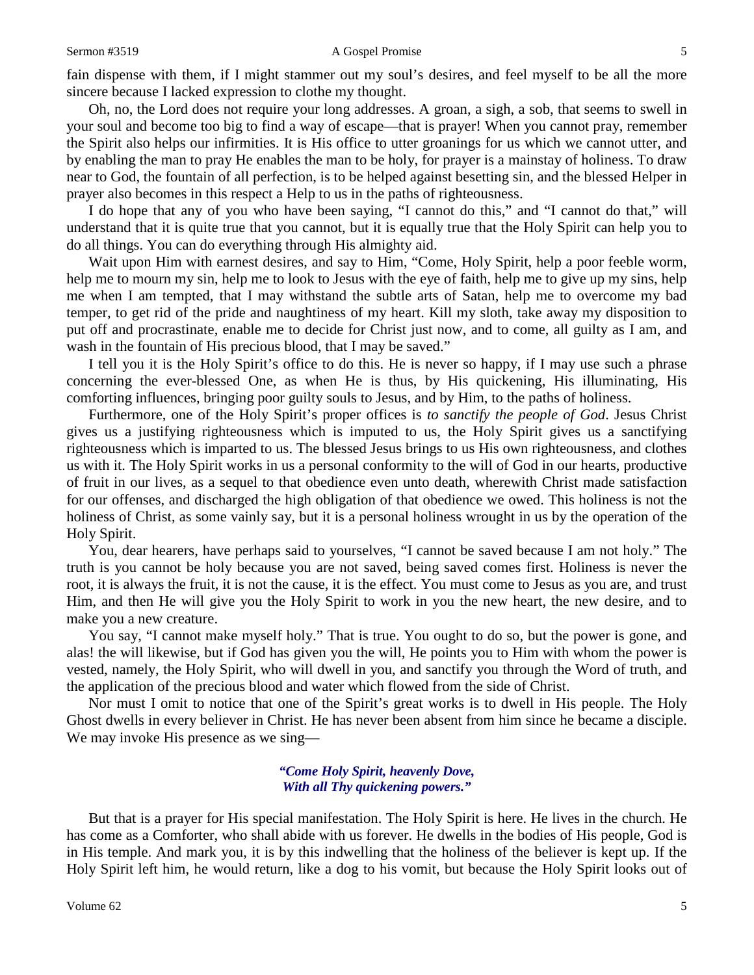### Sermon #3519 **A** Gospel Promise 5

fain dispense with them, if I might stammer out my soul's desires, and feel myself to be all the more sincere because I lacked expression to clothe my thought.

Oh, no, the Lord does not require your long addresses. A groan, a sigh, a sob, that seems to swell in your soul and become too big to find a way of escape—that is prayer! When you cannot pray, remember the Spirit also helps our infirmities. It is His office to utter groanings for us which we cannot utter, and by enabling the man to pray He enables the man to be holy, for prayer is a mainstay of holiness. To draw near to God, the fountain of all perfection, is to be helped against besetting sin, and the blessed Helper in prayer also becomes in this respect a Help to us in the paths of righteousness.

I do hope that any of you who have been saying, "I cannot do this," and "I cannot do that," will understand that it is quite true that you cannot, but it is equally true that the Holy Spirit can help you to do all things. You can do everything through His almighty aid.

Wait upon Him with earnest desires, and say to Him, "Come, Holy Spirit, help a poor feeble worm, help me to mourn my sin, help me to look to Jesus with the eye of faith, help me to give up my sins, help me when I am tempted, that I may withstand the subtle arts of Satan, help me to overcome my bad temper, to get rid of the pride and naughtiness of my heart. Kill my sloth, take away my disposition to put off and procrastinate, enable me to decide for Christ just now, and to come, all guilty as I am, and wash in the fountain of His precious blood, that I may be saved."

I tell you it is the Holy Spirit's office to do this. He is never so happy, if I may use such a phrase concerning the ever-blessed One, as when He is thus, by His quickening, His illuminating, His comforting influences, bringing poor guilty souls to Jesus, and by Him, to the paths of holiness.

Furthermore, one of the Holy Spirit's proper offices is *to sanctify the people of God*. Jesus Christ gives us a justifying righteousness which is imputed to us, the Holy Spirit gives us a sanctifying righteousness which is imparted to us. The blessed Jesus brings to us His own righteousness, and clothes us with it. The Holy Spirit works in us a personal conformity to the will of God in our hearts, productive of fruit in our lives, as a sequel to that obedience even unto death, wherewith Christ made satisfaction for our offenses, and discharged the high obligation of that obedience we owed. This holiness is not the holiness of Christ, as some vainly say, but it is a personal holiness wrought in us by the operation of the Holy Spirit.

You, dear hearers, have perhaps said to yourselves, "I cannot be saved because I am not holy." The truth is you cannot be holy because you are not saved, being saved comes first. Holiness is never the root, it is always the fruit, it is not the cause, it is the effect. You must come to Jesus as you are, and trust Him, and then He will give you the Holy Spirit to work in you the new heart, the new desire, and to make you a new creature.

You say, "I cannot make myself holy." That is true. You ought to do so, but the power is gone, and alas! the will likewise, but if God has given you the will, He points you to Him with whom the power is vested, namely, the Holy Spirit, who will dwell in you, and sanctify you through the Word of truth, and the application of the precious blood and water which flowed from the side of Christ.

Nor must I omit to notice that one of the Spirit's great works is to dwell in His people. The Holy Ghost dwells in every believer in Christ. He has never been absent from him since he became a disciple. We may invoke His presence as we sing—

## *"Come Holy Spirit, heavenly Dove, With all Thy quickening powers."*

But that is a prayer for His special manifestation. The Holy Spirit is here. He lives in the church. He has come as a Comforter, who shall abide with us forever. He dwells in the bodies of His people, God is in His temple. And mark you, it is by this indwelling that the holiness of the believer is kept up. If the Holy Spirit left him, he would return, like a dog to his vomit, but because the Holy Spirit looks out of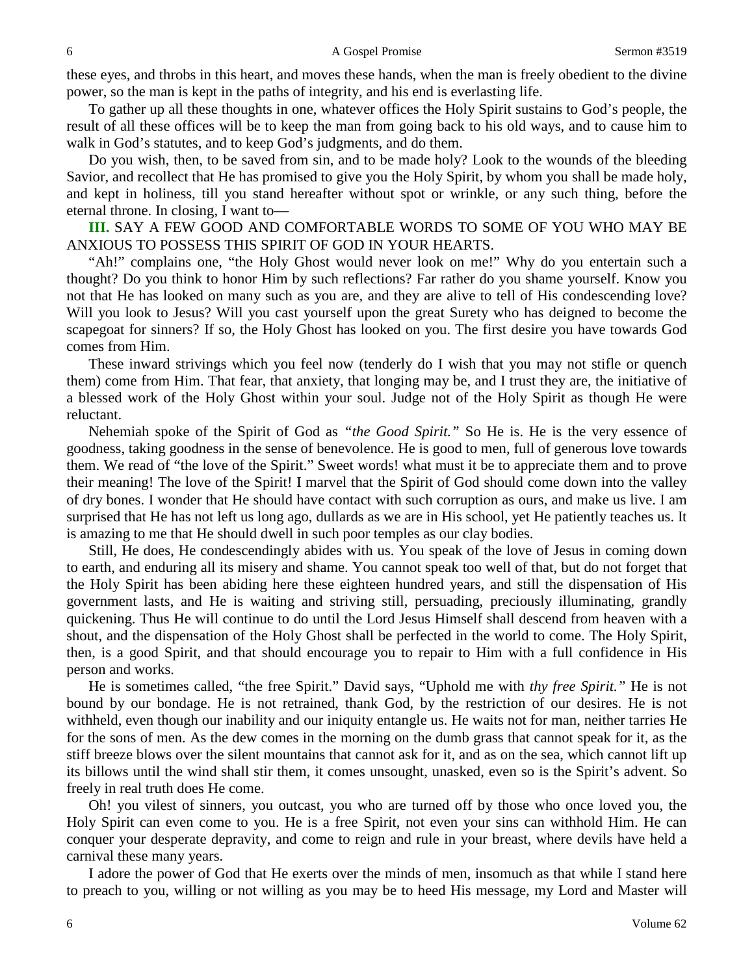these eyes, and throbs in this heart, and moves these hands, when the man is freely obedient to the divine power, so the man is kept in the paths of integrity, and his end is everlasting life.

To gather up all these thoughts in one, whatever offices the Holy Spirit sustains to God's people, the result of all these offices will be to keep the man from going back to his old ways, and to cause him to walk in God's statutes, and to keep God's judgments, and do them.

Do you wish, then, to be saved from sin, and to be made holy? Look to the wounds of the bleeding Savior, and recollect that He has promised to give you the Holy Spirit, by whom you shall be made holy, and kept in holiness, till you stand hereafter without spot or wrinkle, or any such thing, before the eternal throne. In closing, I want to—

**III.** SAY A FEW GOOD AND COMFORTABLE WORDS TO SOME OF YOU WHO MAY BE ANXIOUS TO POSSESS THIS SPIRIT OF GOD IN YOUR HEARTS.

"Ah!" complains one, "the Holy Ghost would never look on me!" Why do you entertain such a thought? Do you think to honor Him by such reflections? Far rather do you shame yourself. Know you not that He has looked on many such as you are, and they are alive to tell of His condescending love? Will you look to Jesus? Will you cast yourself upon the great Surety who has deigned to become the scapegoat for sinners? If so, the Holy Ghost has looked on you. The first desire you have towards God comes from Him.

These inward strivings which you feel now (tenderly do I wish that you may not stifle or quench them) come from Him. That fear, that anxiety, that longing may be, and I trust they are, the initiative of a blessed work of the Holy Ghost within your soul. Judge not of the Holy Spirit as though He were reluctant.

Nehemiah spoke of the Spirit of God as *"the Good Spirit."* So He is. He is the very essence of goodness, taking goodness in the sense of benevolence. He is good to men, full of generous love towards them. We read of "the love of the Spirit." Sweet words! what must it be to appreciate them and to prove their meaning! The love of the Spirit! I marvel that the Spirit of God should come down into the valley of dry bones. I wonder that He should have contact with such corruption as ours, and make us live. I am surprised that He has not left us long ago, dullards as we are in His school, yet He patiently teaches us. It is amazing to me that He should dwell in such poor temples as our clay bodies.

Still, He does, He condescendingly abides with us. You speak of the love of Jesus in coming down to earth, and enduring all its misery and shame. You cannot speak too well of that, but do not forget that the Holy Spirit has been abiding here these eighteen hundred years, and still the dispensation of His government lasts, and He is waiting and striving still, persuading, preciously illuminating, grandly quickening. Thus He will continue to do until the Lord Jesus Himself shall descend from heaven with a shout, and the dispensation of the Holy Ghost shall be perfected in the world to come. The Holy Spirit, then, is a good Spirit, and that should encourage you to repair to Him with a full confidence in His person and works.

He is sometimes called, "the free Spirit." David says, "Uphold me with *thy free Spirit."* He is not bound by our bondage. He is not retrained, thank God, by the restriction of our desires. He is not withheld, even though our inability and our iniquity entangle us. He waits not for man, neither tarries He for the sons of men. As the dew comes in the morning on the dumb grass that cannot speak for it, as the stiff breeze blows over the silent mountains that cannot ask for it, and as on the sea, which cannot lift up its billows until the wind shall stir them, it comes unsought, unasked, even so is the Spirit's advent. So freely in real truth does He come.

Oh! you vilest of sinners, you outcast, you who are turned off by those who once loved you, the Holy Spirit can even come to you. He is a free Spirit, not even your sins can withhold Him. He can conquer your desperate depravity, and come to reign and rule in your breast, where devils have held a carnival these many years.

I adore the power of God that He exerts over the minds of men, insomuch as that while I stand here to preach to you, willing or not willing as you may be to heed His message, my Lord and Master will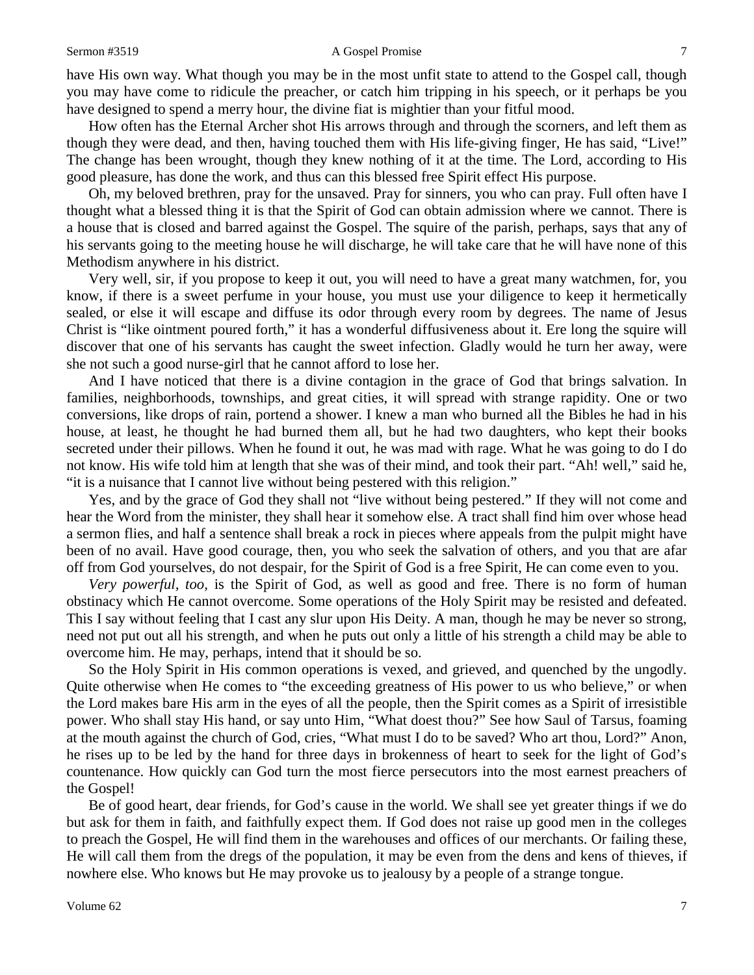### Sermon #3519 **A** Gospel Promise 7

have His own way. What though you may be in the most unfit state to attend to the Gospel call, though you may have come to ridicule the preacher, or catch him tripping in his speech, or it perhaps be you have designed to spend a merry hour, the divine fiat is mightier than your fitful mood.

How often has the Eternal Archer shot His arrows through and through the scorners, and left them as though they were dead, and then, having touched them with His life-giving finger, He has said, "Live!" The change has been wrought, though they knew nothing of it at the time. The Lord, according to His good pleasure, has done the work, and thus can this blessed free Spirit effect His purpose.

Oh, my beloved brethren, pray for the unsaved. Pray for sinners, you who can pray. Full often have I thought what a blessed thing it is that the Spirit of God can obtain admission where we cannot. There is a house that is closed and barred against the Gospel. The squire of the parish, perhaps, says that any of his servants going to the meeting house he will discharge, he will take care that he will have none of this Methodism anywhere in his district.

Very well, sir, if you propose to keep it out, you will need to have a great many watchmen, for, you know, if there is a sweet perfume in your house, you must use your diligence to keep it hermetically sealed, or else it will escape and diffuse its odor through every room by degrees. The name of Jesus Christ is "like ointment poured forth," it has a wonderful diffusiveness about it. Ere long the squire will discover that one of his servants has caught the sweet infection. Gladly would he turn her away, were she not such a good nurse-girl that he cannot afford to lose her.

And I have noticed that there is a divine contagion in the grace of God that brings salvation. In families, neighborhoods, townships, and great cities, it will spread with strange rapidity. One or two conversions, like drops of rain, portend a shower. I knew a man who burned all the Bibles he had in his house, at least, he thought he had burned them all, but he had two daughters, who kept their books secreted under their pillows. When he found it out, he was mad with rage. What he was going to do I do not know. His wife told him at length that she was of their mind, and took their part. "Ah! well," said he, "it is a nuisance that I cannot live without being pestered with this religion."

Yes, and by the grace of God they shall not "live without being pestered." If they will not come and hear the Word from the minister, they shall hear it somehow else. A tract shall find him over whose head a sermon flies, and half a sentence shall break a rock in pieces where appeals from the pulpit might have been of no avail. Have good courage, then, you who seek the salvation of others, and you that are afar off from God yourselves, do not despair, for the Spirit of God is a free Spirit, He can come even to you.

*Very powerful, too,* is the Spirit of God, as well as good and free. There is no form of human obstinacy which He cannot overcome. Some operations of the Holy Spirit may be resisted and defeated. This I say without feeling that I cast any slur upon His Deity. A man, though he may be never so strong, need not put out all his strength, and when he puts out only a little of his strength a child may be able to overcome him. He may, perhaps, intend that it should be so.

So the Holy Spirit in His common operations is vexed, and grieved, and quenched by the ungodly. Quite otherwise when He comes to "the exceeding greatness of His power to us who believe," or when the Lord makes bare His arm in the eyes of all the people, then the Spirit comes as a Spirit of irresistible power. Who shall stay His hand, or say unto Him, "What doest thou?" See how Saul of Tarsus, foaming at the mouth against the church of God, cries, "What must I do to be saved? Who art thou, Lord?" Anon, he rises up to be led by the hand for three days in brokenness of heart to seek for the light of God's countenance. How quickly can God turn the most fierce persecutors into the most earnest preachers of the Gospel!

Be of good heart, dear friends, for God's cause in the world. We shall see yet greater things if we do but ask for them in faith, and faithfully expect them. If God does not raise up good men in the colleges to preach the Gospel, He will find them in the warehouses and offices of our merchants. Or failing these, He will call them from the dregs of the population, it may be even from the dens and kens of thieves, if nowhere else. Who knows but He may provoke us to jealousy by a people of a strange tongue.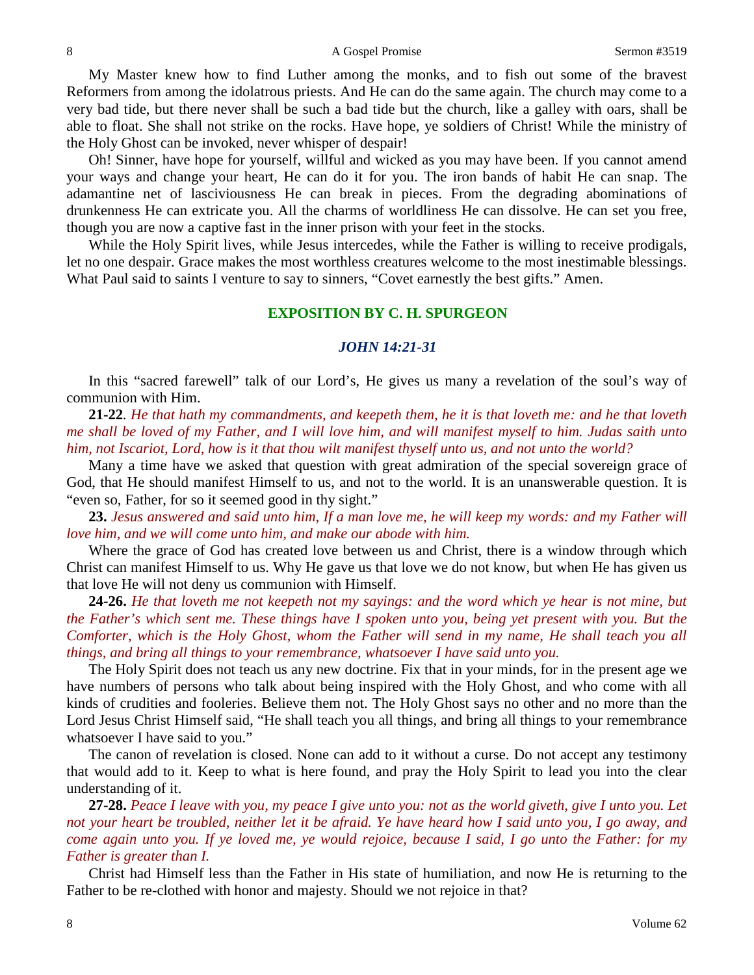My Master knew how to find Luther among the monks, and to fish out some of the bravest Reformers from among the idolatrous priests. And He can do the same again. The church may come to a very bad tide, but there never shall be such a bad tide but the church, like a galley with oars, shall be able to float. She shall not strike on the rocks. Have hope, ye soldiers of Christ! While the ministry of the Holy Ghost can be invoked, never whisper of despair!

Oh! Sinner, have hope for yourself, willful and wicked as you may have been. If you cannot amend your ways and change your heart, He can do it for you. The iron bands of habit He can snap. The adamantine net of lasciviousness He can break in pieces. From the degrading abominations of drunkenness He can extricate you. All the charms of worldliness He can dissolve. He can set you free, though you are now a captive fast in the inner prison with your feet in the stocks.

While the Holy Spirit lives, while Jesus intercedes, while the Father is willing to receive prodigals, let no one despair. Grace makes the most worthless creatures welcome to the most inestimable blessings. What Paul said to saints I venture to say to sinners, "Covet earnestly the best gifts." Amen.

### **EXPOSITION BY C. H. SPURGEON**

### *JOHN 14:21-31*

In this "sacred farewell" talk of our Lord's, He gives us many a revelation of the soul's way of communion with Him.

**21-22***. He that hath my commandments, and keepeth them, he it is that loveth me: and he that loveth me shall be loved of my Father, and I will love him, and will manifest myself to him. Judas saith unto him, not Iscariot, Lord, how is it that thou wilt manifest thyself unto us, and not unto the world?* 

Many a time have we asked that question with great admiration of the special sovereign grace of God, that He should manifest Himself to us, and not to the world. It is an unanswerable question. It is "even so, Father, for so it seemed good in thy sight."

**23.** *Jesus answered and said unto him, If a man love me, he will keep my words: and my Father will love him, and we will come unto him, and make our abode with him.*

Where the grace of God has created love between us and Christ, there is a window through which Christ can manifest Himself to us. Why He gave us that love we do not know, but when He has given us that love He will not deny us communion with Himself.

**24-26.** *He that loveth me not keepeth not my sayings: and the word which ye hear is not mine, but the Father's which sent me. These things have I spoken unto you, being yet present with you. But the Comforter, which is the Holy Ghost, whom the Father will send in my name, He shall teach you all things, and bring all things to your remembrance, whatsoever I have said unto you.* 

The Holy Spirit does not teach us any new doctrine. Fix that in your minds, for in the present age we have numbers of persons who talk about being inspired with the Holy Ghost, and who come with all kinds of crudities and fooleries. Believe them not. The Holy Ghost says no other and no more than the Lord Jesus Christ Himself said, "He shall teach you all things, and bring all things to your remembrance whatsoever I have said to you."

The canon of revelation is closed. None can add to it without a curse. Do not accept any testimony that would add to it. Keep to what is here found, and pray the Holy Spirit to lead you into the clear understanding of it.

**27-28.** *Peace I leave with you, my peace I give unto you: not as the world giveth, give I unto you. Let not your heart be troubled, neither let it be afraid. Ye have heard how I said unto you, I go away, and come again unto you. If ye loved me, ye would rejoice, because I said, I go unto the Father: for my Father is greater than I.* 

Christ had Himself less than the Father in His state of humiliation, and now He is returning to the Father to be re-clothed with honor and majesty. Should we not rejoice in that?